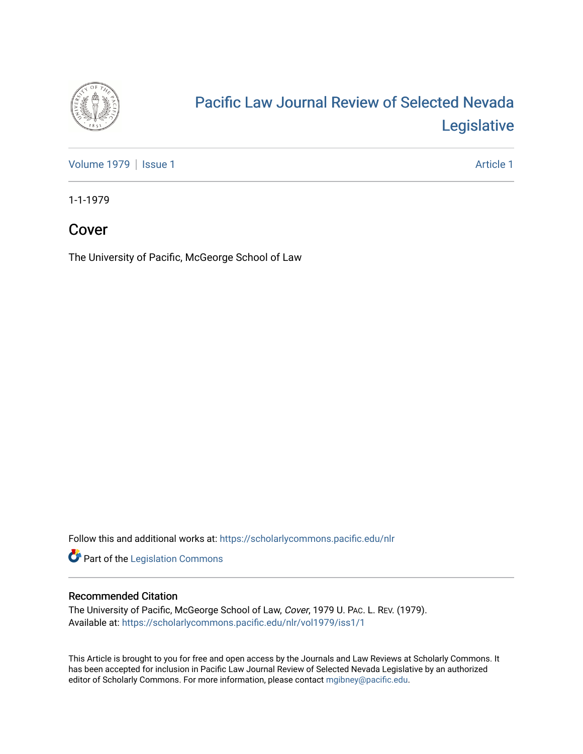

## [Pacific Law Journal Review of Selected Nevada](https://scholarlycommons.pacific.edu/nlr)  [Legislative](https://scholarlycommons.pacific.edu/nlr)

[Volume 1979](https://scholarlycommons.pacific.edu/nlr/vol1979) | [Issue 1](https://scholarlycommons.pacific.edu/nlr/vol1979/iss1) Article 1

1-1-1979

## Cover

The University of Pacific, McGeorge School of Law

Follow this and additional works at: [https://scholarlycommons.pacific.edu/nlr](https://scholarlycommons.pacific.edu/nlr?utm_source=scholarlycommons.pacific.edu%2Fnlr%2Fvol1979%2Fiss1%2F1&utm_medium=PDF&utm_campaign=PDFCoverPages) 

**Part of the [Legislation Commons](http://network.bepress.com/hgg/discipline/859?utm_source=scholarlycommons.pacific.edu%2Fnlr%2Fvol1979%2Fiss1%2F1&utm_medium=PDF&utm_campaign=PDFCoverPages)** 

#### Recommended Citation

The University of Pacific, McGeorge School of Law, Cover, 1979 U. PAC. L. REV. (1979). Available at: [https://scholarlycommons.pacific.edu/nlr/vol1979/iss1/1](https://scholarlycommons.pacific.edu/nlr/vol1979/iss1/1?utm_source=scholarlycommons.pacific.edu%2Fnlr%2Fvol1979%2Fiss1%2F1&utm_medium=PDF&utm_campaign=PDFCoverPages) 

This Article is brought to you for free and open access by the Journals and Law Reviews at Scholarly Commons. It has been accepted for inclusion in Pacific Law Journal Review of Selected Nevada Legislative by an authorized editor of Scholarly Commons. For more information, please contact [mgibney@pacific.edu](mailto:mgibney@pacific.edu).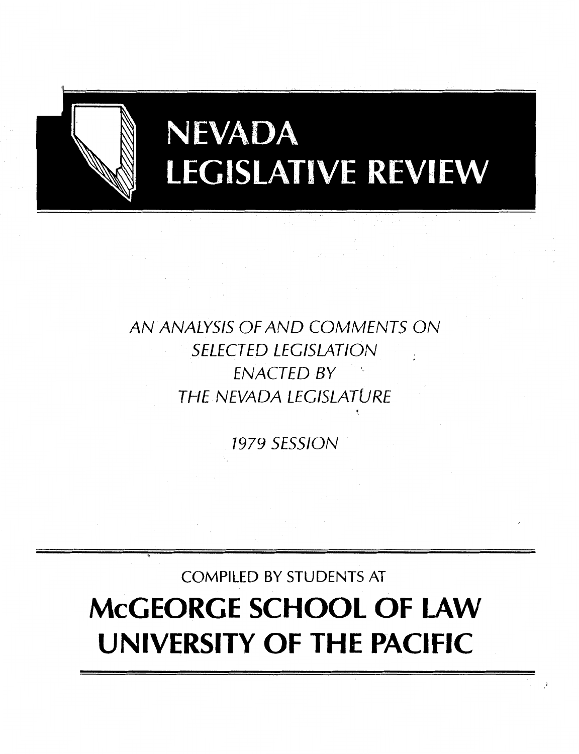

# **NEVADA LEGISLATIVE REVIEW**

## AN ANALYSIS OF AND COMMENTS ON SELECTED LEGISLATION ENACTED BY THE NEVADA LEGISLATURE

1979 SESSION

'

COMPILED BY STUDENTS AT

## **McGEORGE SCHOOL OF LAW UNIVERSITY OF THE PACIFIC**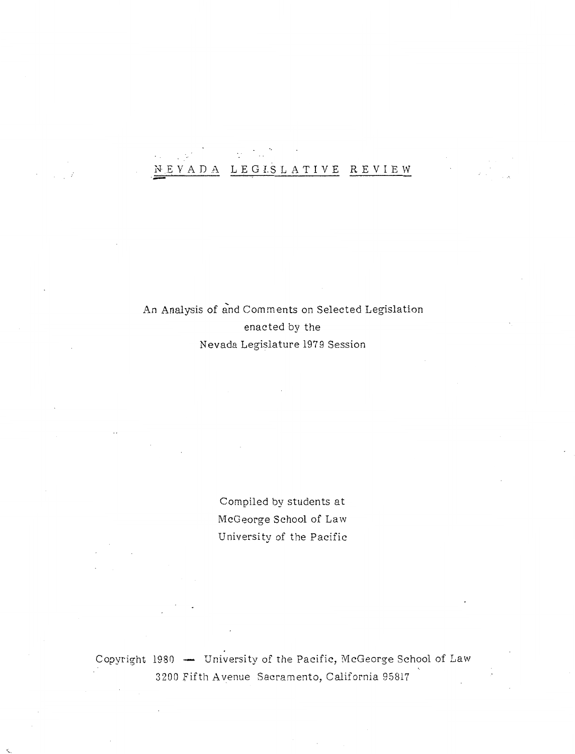## N.EVADA LEGI.SLATIVE REVIEW

## An Analysis of and Comments on Selected Legislation enacted by the Nevada Legislature 197 9 Session

Compiled by students at McGeorge School of Law University of the Pacific

Copyright 1980 - University of the Pacific, McGeorge School of Law 3200 Fifth Avenue Sacramento, California 95817